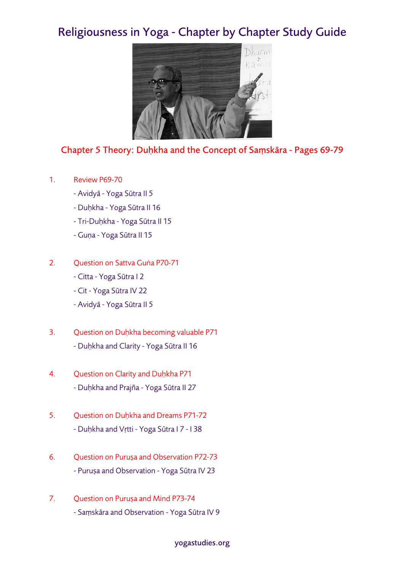## Religiousness in Yoga - Chapter by Chapter Study Guide



## Chapter 5 Theory: Duḥkha and the Concept of Saṃskāra - Pages 69-79

- 1. Review P69-70
	- Avidyā Yoga Sūtra II 5
	- Duḥkha Yoga Sūtra II 16
	- Tri-Duḥkha Yoga Sūtra II 15
	- Guṇa Yoga Sūtra II 15
- 2. Question on Sattva Guṅa P70-71
	- Citta Yoga Sūtra I 2
	- Cit Yoga Sūtra IV 22
	- Avidyā Yoga Sūtra II 5
- 3. Question on Duḥkha becoming valuable P71 - Duḥkha and Clarity - Yoga Sūtra II 16
- 4. Question on Clarity and Duḥkha P71 - Duḥkha and Prajña - Yoga Sūtra II 27
- 5. Question on Duḥkha and Dreams P71-72 - Duḥkha and Vṛtti - Yoga Sūtra I 7 - I 38
- 6. Question on Puruṣa and Observation P72-73 - Puruṣa and Observation - Yoga Sūtra IV 23
- 7. Question on Puruṣa and Mind P73-74 - Saṃskāra and Observation - Yoga Sūtra IV 9

## yogastudies.org